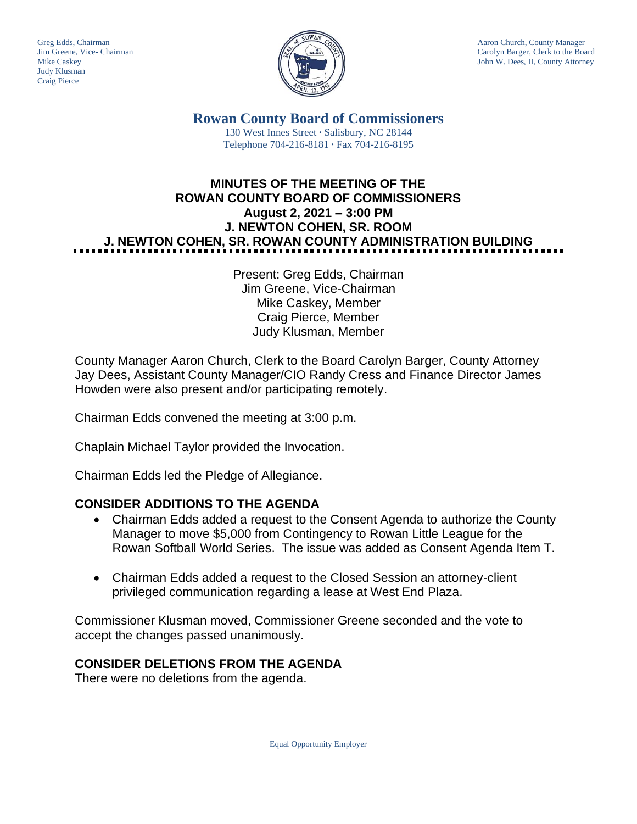Judy Klusman Craig Pierce



Greg Edds, Chairman Aaron Church, County Manager<br>Jim Greene, Vice- Chairman Aaron Church, County Manager<br>Carolyn Barger, Clerk to the Boa Carolyn Barger, Clerk to the Board Mike Caskey John W. Dees, II, County Attorney

> **Rowan County Board of Commissioners** 130 West Innes Street **∙** Salisbury, NC 28144 Telephone 704-216-8181 **∙** Fax 704-216-8195

## **MINUTES OF THE MEETING OF THE ROWAN COUNTY BOARD OF COMMISSIONERS August 2, 2021 – 3:00 PM J. NEWTON COHEN, SR. ROOM J. NEWTON COHEN, SR. ROWAN COUNTY ADMINISTRATION BUILDING**

Present: Greg Edds, Chairman Jim Greene, Vice-Chairman Mike Caskey, Member Craig Pierce, Member Judy Klusman, Member

County Manager Aaron Church, Clerk to the Board Carolyn Barger, County Attorney Jay Dees, Assistant County Manager/CIO Randy Cress and Finance Director James Howden were also present and/or participating remotely.

Chairman Edds convened the meeting at 3:00 p.m.

Chaplain Michael Taylor provided the Invocation.

Chairman Edds led the Pledge of Allegiance.

### **CONSIDER ADDITIONS TO THE AGENDA**

- Chairman Edds added a request to the Consent Agenda to authorize the County Manager to move \$5,000 from Contingency to Rowan Little League for the Rowan Softball World Series. The issue was added as Consent Agenda Item T.
- Chairman Edds added a request to the Closed Session an attorney-client privileged communication regarding a lease at West End Plaza.

Commissioner Klusman moved, Commissioner Greene seconded and the vote to accept the changes passed unanimously.

### **CONSIDER DELETIONS FROM THE AGENDA**

There were no deletions from the agenda.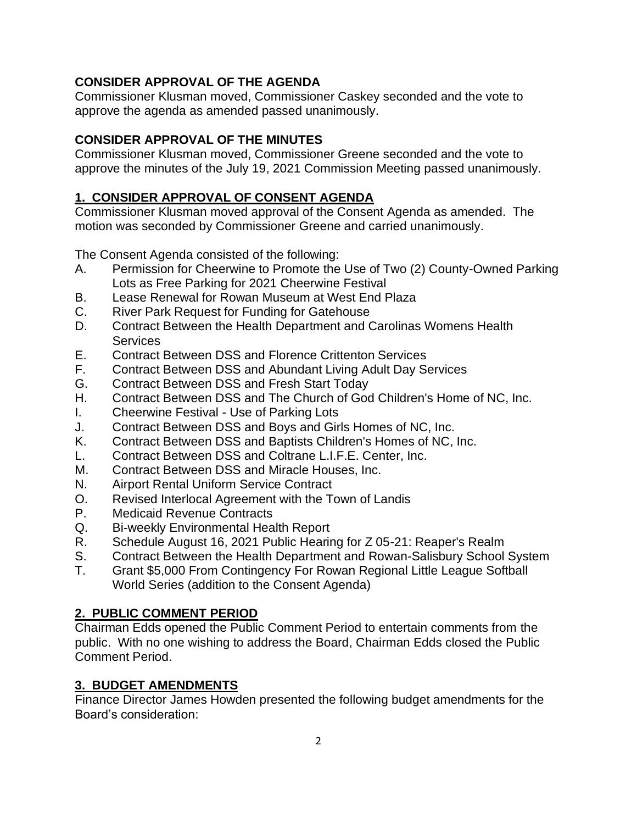### **CONSIDER APPROVAL OF THE AGENDA**

Commissioner Klusman moved, Commissioner Caskey seconded and the vote to approve the agenda as amended passed unanimously.

#### **CONSIDER APPROVAL OF THE MINUTES**

Commissioner Klusman moved, Commissioner Greene seconded and the vote to approve the minutes of the July 19, 2021 Commission Meeting passed unanimously.

### **1. CONSIDER APPROVAL OF CONSENT AGENDA**

Commissioner Klusman moved approval of the Consent Agenda as amended. The motion was seconded by Commissioner Greene and carried unanimously.

The Consent Agenda consisted of the following:

- A. Permission for Cheerwine to Promote the Use of Two (2) County-Owned Parking Lots as Free Parking for 2021 Cheerwine Festival
- B. Lease Renewal for Rowan Museum at West End Plaza
- C. River Park Request for Funding for Gatehouse
- D. Contract Between the Health Department and Carolinas Womens Health **Services**
- E. Contract Between DSS and Florence Crittenton Services
- F. Contract Between DSS and Abundant Living Adult Day Services
- G. Contract Between DSS and Fresh Start Today
- H. Contract Between DSS and The Church of God Children's Home of NC, Inc.
- I. Cheerwine Festival Use of Parking Lots
- J. Contract Between DSS and Boys and Girls Homes of NC, Inc.
- K. Contract Between DSS and Baptists Children's Homes of NC, Inc.
- L. Contract Between DSS and Coltrane L.I.F.E. Center, Inc.
- M. Contract Between DSS and Miracle Houses, Inc.
- N. Airport Rental Uniform Service Contract
- O. Revised Interlocal Agreement with the Town of Landis
- P. Medicaid Revenue Contracts
- Q. Bi-weekly Environmental Health Report
- R. Schedule August 16, 2021 Public Hearing for Z 05-21: Reaper's Realm
- S. Contract Between the Health Department and Rowan-Salisbury School System
- T. Grant \$5,000 From Contingency For Rowan Regional Little League Softball World Series (addition to the Consent Agenda)

### **2. PUBLIC COMMENT PERIOD**

Chairman Edds opened the Public Comment Period to entertain comments from the public. With no one wishing to address the Board, Chairman Edds closed the Public Comment Period.

### **3. BUDGET AMENDMENTS**

Finance Director James Howden presented the following budget amendments for the Board's consideration: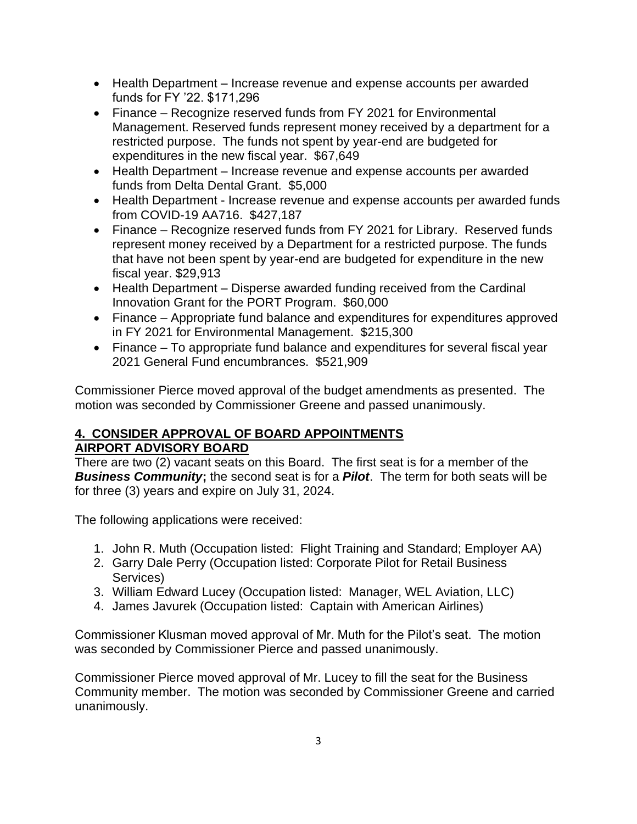- Health Department Increase revenue and expense accounts per awarded funds for FY '22. \$171,296
- Finance Recognize reserved funds from FY 2021 for Environmental Management. Reserved funds represent money received by a department for a restricted purpose. The funds not spent by year-end are budgeted for expenditures in the new fiscal year. \$67,649
- Health Department Increase revenue and expense accounts per awarded funds from Delta Dental Grant. \$5,000
- Health Department Increase revenue and expense accounts per awarded funds from COVID-19 AA716. \$427,187
- Finance Recognize reserved funds from FY 2021 for Library. Reserved funds represent money received by a Department for a restricted purpose. The funds that have not been spent by year-end are budgeted for expenditure in the new fiscal year. \$29,913
- Health Department Disperse awarded funding received from the Cardinal Innovation Grant for the PORT Program. \$60,000
- Finance Appropriate fund balance and expenditures for expenditures approved in FY 2021 for Environmental Management. \$215,300
- Finance To appropriate fund balance and expenditures for several fiscal year 2021 General Fund encumbrances. \$521,909

Commissioner Pierce moved approval of the budget amendments as presented. The motion was seconded by Commissioner Greene and passed unanimously.

# **4. CONSIDER APPROVAL OF BOARD APPOINTMENTS**

### **AIRPORT ADVISORY BOARD**

There are two (2) vacant seats on this Board. The first seat is for a member of the *Business Community***;** the second seat is for a *Pilot*. The term for both seats will be for three (3) years and expire on July 31, 2024.

The following applications were received:

- 1. John R. Muth (Occupation listed: Flight Training and Standard; Employer AA)
- 2. Garry Dale Perry (Occupation listed: Corporate Pilot for Retail Business Services)
- 3. William Edward Lucey (Occupation listed: Manager, WEL Aviation, LLC)
- 4. James Javurek (Occupation listed: Captain with American Airlines)

Commissioner Klusman moved approval of Mr. Muth for the Pilot's seat. The motion was seconded by Commissioner Pierce and passed unanimously.

Commissioner Pierce moved approval of Mr. Lucey to fill the seat for the Business Community member. The motion was seconded by Commissioner Greene and carried unanimously.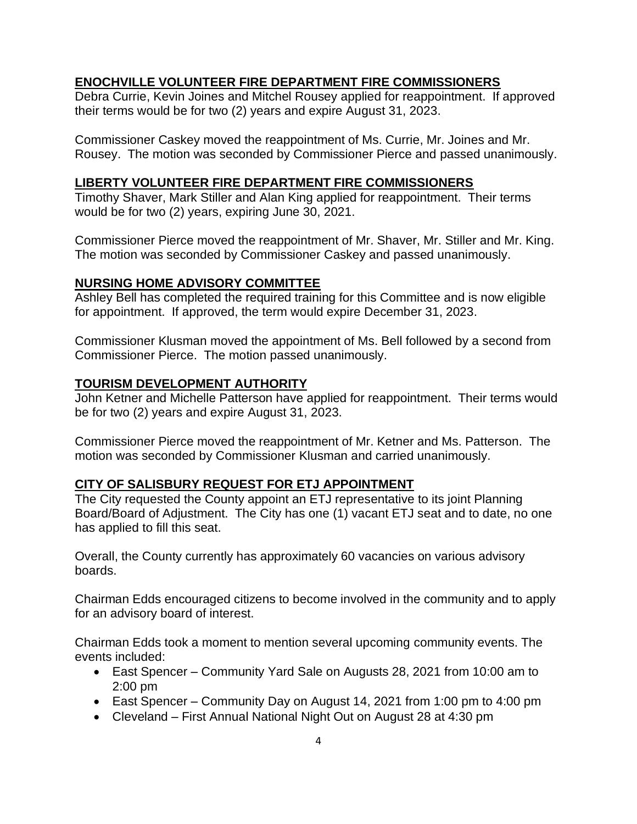#### **ENOCHVILLE VOLUNTEER FIRE DEPARTMENT FIRE COMMISSIONERS**

Debra Currie, Kevin Joines and Mitchel Rousey applied for reappointment. If approved their terms would be for two (2) years and expire August 31, 2023.

Commissioner Caskey moved the reappointment of Ms. Currie, Mr. Joines and Mr. Rousey. The motion was seconded by Commissioner Pierce and passed unanimously.

#### **LIBERTY VOLUNTEER FIRE DEPARTMENT FIRE COMMISSIONERS**

Timothy Shaver, Mark Stiller and Alan King applied for reappointment. Their terms would be for two (2) years, expiring June 30, 2021.

Commissioner Pierce moved the reappointment of Mr. Shaver, Mr. Stiller and Mr. King. The motion was seconded by Commissioner Caskey and passed unanimously.

#### **NURSING HOME ADVISORY COMMITTEE**

Ashley Bell has completed the required training for this Committee and is now eligible for appointment. If approved, the term would expire December 31, 2023.

Commissioner Klusman moved the appointment of Ms. Bell followed by a second from Commissioner Pierce. The motion passed unanimously.

#### **TOURISM DEVELOPMENT AUTHORITY**

John Ketner and Michelle Patterson have applied for reappointment. Their terms would be for two (2) years and expire August 31, 2023.

Commissioner Pierce moved the reappointment of Mr. Ketner and Ms. Patterson. The motion was seconded by Commissioner Klusman and carried unanimously.

#### **CITY OF SALISBURY REQUEST FOR ETJ APPOINTMENT**

The City requested the County appoint an ETJ representative to its joint Planning Board/Board of Adjustment. The City has one (1) vacant ETJ seat and to date, no one has applied to fill this seat.

Overall, the County currently has approximately 60 vacancies on various advisory boards.

Chairman Edds encouraged citizens to become involved in the community and to apply for an advisory board of interest.

Chairman Edds took a moment to mention several upcoming community events. The events included:

- East Spencer Community Yard Sale on Augusts 28, 2021 from 10:00 am to 2:00 pm
- East Spencer Community Day on August 14, 2021 from 1:00 pm to 4:00 pm
- Cleveland First Annual National Night Out on August 28 at 4:30 pm